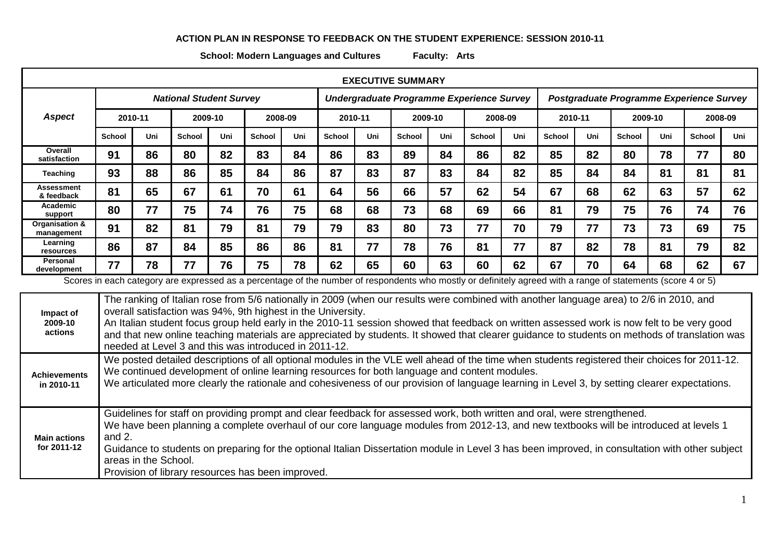## **ACTION PLAN IN RESPONSE TO FEEDBACK ON THE STUDENT EXPERIENCE: SESSION 2010-11**

**School: Modern Languages and Cultures Faculty: Arts**

| <b>EXECUTIVE SUMMARY</b>                                                                                                                                                                                                                                                                                                                                                                                                                                                                                   |                                |         |               |         |               |                                           |         |     |         |     |                                          |         |         |     |               |         |               |         |
|------------------------------------------------------------------------------------------------------------------------------------------------------------------------------------------------------------------------------------------------------------------------------------------------------------------------------------------------------------------------------------------------------------------------------------------------------------------------------------------------------------|--------------------------------|---------|---------------|---------|---------------|-------------------------------------------|---------|-----|---------|-----|------------------------------------------|---------|---------|-----|---------------|---------|---------------|---------|
|                                                                                                                                                                                                                                                                                                                                                                                                                                                                                                            | <b>National Student Survey</b> |         |               |         |               | Undergraduate Programme Experience Survey |         |     |         |     | Postgraduate Programme Experience Survey |         |         |     |               |         |               |         |
| <b>Aspect</b>                                                                                                                                                                                                                                                                                                                                                                                                                                                                                              |                                | 2010-11 |               | 2009-10 |               | 2008-09                                   | 2010-11 |     | 2009-10 |     |                                          | 2008-09 | 2010-11 |     |               | 2009-10 |               | 2008-09 |
|                                                                                                                                                                                                                                                                                                                                                                                                                                                                                                            | <b>School</b>                  | Uni     | <b>School</b> | Uni     | <b>School</b> | Uni                                       | School  | Uni | School  | Uni | <b>School</b>                            | Uni     | School  | Uni | <b>School</b> | Uni     | <b>School</b> | Uni     |
| Overall<br>satisfaction                                                                                                                                                                                                                                                                                                                                                                                                                                                                                    | 91                             | 86      | 80            | 82      | 83            | 84                                        | 86      | 83  | 89      | 84  | 86                                       | 82      | 85      | 82  | 80            | 78      | 77            | 80      |
| Teaching                                                                                                                                                                                                                                                                                                                                                                                                                                                                                                   | 93                             | 88      | 86            | 85      | 84            | 86                                        | 87      | 83  | 87      | 83  | 84                                       | 82      | 85      | 84  | 84            | 81      | 81            | 81      |
| Assessment<br>& feedback                                                                                                                                                                                                                                                                                                                                                                                                                                                                                   | 81                             | 65      | 67            | 61      | 70            | 61                                        | 64      | 56  | 66      | 57  | 62                                       | 54      | 67      | 68  | 62            | 63      | 57            | 62      |
| Academic<br>support                                                                                                                                                                                                                                                                                                                                                                                                                                                                                        | 80                             | 77      | 75            | 74      | 76            | 75                                        | 68      | 68  | 73      | 68  | 69                                       | 66      | 81      | 79  | 75            | 76      | 74            | 76      |
| Organisation &<br>management                                                                                                                                                                                                                                                                                                                                                                                                                                                                               | 91                             | 82      | 81            | 79      | 81            | 79                                        | 79      | 83  | 80      | 73  | 77                                       | 70      | 79      | 77  | 73            | 73      | 69            | 75      |
| Learning<br>resources                                                                                                                                                                                                                                                                                                                                                                                                                                                                                      | 86                             | 87      | 84            | 85      | 86            | 86                                        | 81      | 77  | 78      | 76  | 81                                       | 77      | 87      | 82  | 78            | 81      | 79            | 82      |
| <b>Personal</b><br>development                                                                                                                                                                                                                                                                                                                                                                                                                                                                             | 77                             | 78      | 77            | 76      | 75            | 78                                        | 62      | 65  | 60      | 63  | 60                                       | 62      | 67      | 70  | 64            | 68      | 62            | 67      |
| Scores in each category are expressed as a percentage of the number of respondents who mostly or definitely agreed with a range of statements (score 4 or 5)                                                                                                                                                                                                                                                                                                                                               |                                |         |               |         |               |                                           |         |     |         |     |                                          |         |         |     |               |         |               |         |
| The ranking of Italian rose from 5/6 nationally in 2009 (when our results were combined with another language area) to 2/6 in 2010, and<br>overall satisfaction was 94%, 9th highest in the University.<br>Impact of<br>An Italian student focus group held early in the 2010-11 session showed that feedback on written assessed work is now felt to be very good<br>2009-10<br>actione<br>dahara oo salka maalika aa malala soo saada kala dhigaalama dhalamadaha ahaada addaana maramaha ahaa ahaan aha |                                |         |               |         |               |                                           |         |     |         |     |                                          |         |         |     |               |         |               |         |

| actions | and that new online teaching materials are appreciated by students. It showed that clearer guidance to students on methods of translation was<br>I needed at Level 3 and this was introduced in 2011-12. |
|---------|----------------------------------------------------------------------------------------------------------------------------------------------------------------------------------------------------------|
|         | We posted detailed descriptions of all optional modules in the VLE well ahead of the time when students registered their choices for 2011-12.                                                            |

**Achievements in 2010-11** We continued development of online learning resources for both language and content modules. We articulated more clearly the rationale and cohesiveness of our provision of language learning in Level 3, by setting clearer expectations.

Guidelines for staff on providing prompt and clear feedback for assessed work, both written and oral, were strengthened. We have been planning a complete overhaul of our core language modules from 2012-13, and new textbooks will be introduced at levels 1

**Main actions for 2011-12** and 2. Guidance to students on preparing for the optional Italian Dissertation module in Level 3 has been improved, in consultation with other subject

areas in the School.

Provision of library resources has been improved.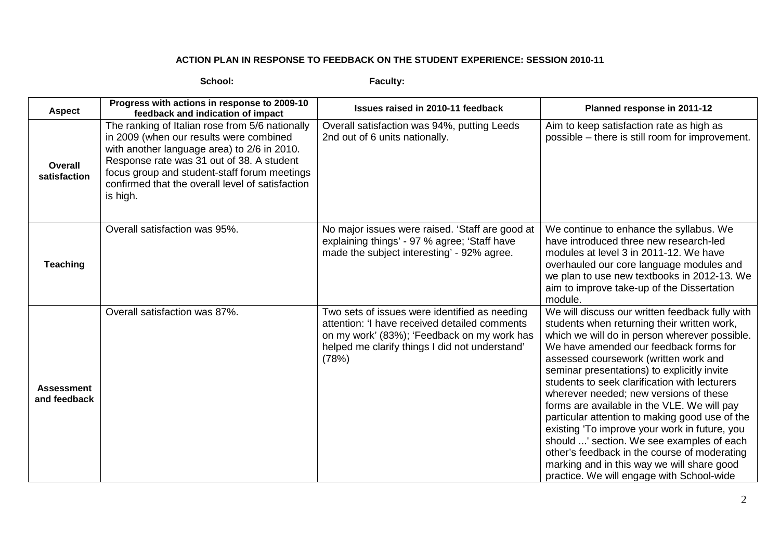## **ACTION PLAN IN RESPONSE TO FEEDBACK ON THE STUDENT EXPERIENCE: SESSION 2010-11**

**School: Faculty:**

| <b>Aspect</b>                     | Progress with actions in response to 2009-10<br>feedback and indication of impact                                                                                                                                                                                                                      | Issues raised in 2010-11 feedback                                                                                                                                                                        | Planned response in 2011-12                                                                                                                                                                                                                                                                                                                                                                                                                                                                                                                                                                                                                                                                                            |
|-----------------------------------|--------------------------------------------------------------------------------------------------------------------------------------------------------------------------------------------------------------------------------------------------------------------------------------------------------|----------------------------------------------------------------------------------------------------------------------------------------------------------------------------------------------------------|------------------------------------------------------------------------------------------------------------------------------------------------------------------------------------------------------------------------------------------------------------------------------------------------------------------------------------------------------------------------------------------------------------------------------------------------------------------------------------------------------------------------------------------------------------------------------------------------------------------------------------------------------------------------------------------------------------------------|
| Overall<br>satisfaction           | The ranking of Italian rose from 5/6 nationally<br>in 2009 (when our results were combined<br>with another language area) to 2/6 in 2010.<br>Response rate was 31 out of 38. A student<br>focus group and student-staff forum meetings<br>confirmed that the overall level of satisfaction<br>is high. | Overall satisfaction was 94%, putting Leeds<br>2nd out of 6 units nationally.                                                                                                                            | Aim to keep satisfaction rate as high as<br>possible - there is still room for improvement.                                                                                                                                                                                                                                                                                                                                                                                                                                                                                                                                                                                                                            |
| <b>Teaching</b>                   | Overall satisfaction was 95%.                                                                                                                                                                                                                                                                          | No major issues were raised. 'Staff are good at<br>explaining things' - 97 % agree; 'Staff have<br>made the subject interesting' - 92% agree.                                                            | We continue to enhance the syllabus. We<br>have introduced three new research-led<br>modules at level 3 in 2011-12. We have<br>overhauled our core language modules and<br>we plan to use new textbooks in 2012-13. We<br>aim to improve take-up of the Dissertation<br>module.                                                                                                                                                                                                                                                                                                                                                                                                                                        |
| <b>Assessment</b><br>and feedback | Overall satisfaction was 87%.                                                                                                                                                                                                                                                                          | Two sets of issues were identified as needing<br>attention: 'I have received detailed comments<br>on my work' (83%); 'Feedback on my work has<br>helped me clarify things I did not understand'<br>(78%) | We will discuss our written feedback fully with<br>students when returning their written work,<br>which we will do in person wherever possible.<br>We have amended our feedback forms for<br>assessed coursework (written work and<br>seminar presentations) to explicitly invite<br>students to seek clarification with lecturers<br>wherever needed; new versions of these<br>forms are available in the VLE. We will pay<br>particular attention to making good use of the<br>existing 'To improve your work in future, you<br>should ' section. We see examples of each<br>other's feedback in the course of moderating<br>marking and in this way we will share good<br>practice. We will engage with School-wide |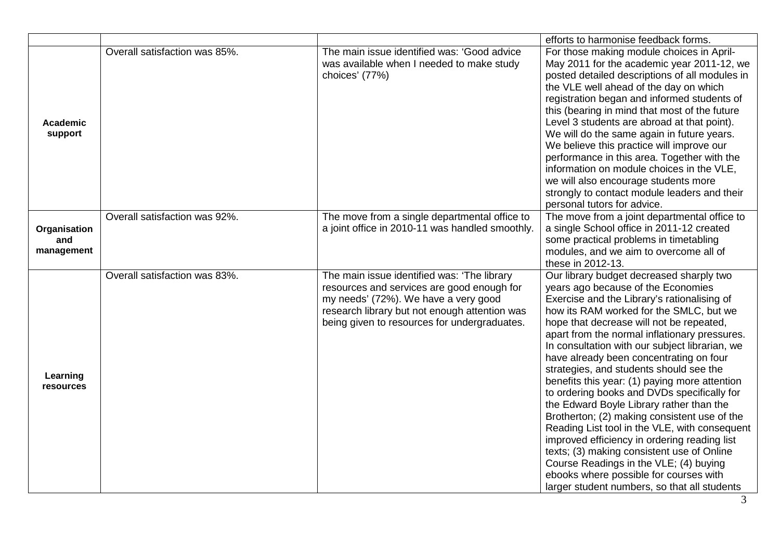|                                   |                               |                                                                                                                                                                                                                                    | efforts to harmonise feedback forms.                                                                                                                                                                                                                                                                                                                                                                                                                                                                                                                                                                                                                                                                                                                                                                                                                                                         |
|-----------------------------------|-------------------------------|------------------------------------------------------------------------------------------------------------------------------------------------------------------------------------------------------------------------------------|----------------------------------------------------------------------------------------------------------------------------------------------------------------------------------------------------------------------------------------------------------------------------------------------------------------------------------------------------------------------------------------------------------------------------------------------------------------------------------------------------------------------------------------------------------------------------------------------------------------------------------------------------------------------------------------------------------------------------------------------------------------------------------------------------------------------------------------------------------------------------------------------|
| <b>Academic</b><br>support        | Overall satisfaction was 85%. | The main issue identified was: 'Good advice<br>was available when I needed to make study<br>choices' (77%)                                                                                                                         | For those making module choices in April-<br>May 2011 for the academic year 2011-12, we<br>posted detailed descriptions of all modules in<br>the VLE well ahead of the day on which<br>registration began and informed students of<br>this (bearing in mind that most of the future<br>Level 3 students are abroad at that point).<br>We will do the same again in future years.<br>We believe this practice will improve our<br>performance in this area. Together with the<br>information on module choices in the VLE,<br>we will also encourage students more<br>strongly to contact module leaders and their<br>personal tutors for advice.                                                                                                                                                                                                                                             |
| Organisation<br>and<br>management | Overall satisfaction was 92%. | The move from a single departmental office to<br>a joint office in 2010-11 was handled smoothly.                                                                                                                                   | The move from a joint departmental office to<br>a single School office in 2011-12 created<br>some practical problems in timetabling<br>modules, and we aim to overcome all of<br>these in 2012-13.                                                                                                                                                                                                                                                                                                                                                                                                                                                                                                                                                                                                                                                                                           |
| Learning<br>resources             | Overall satisfaction was 83%. | The main issue identified was: 'The library<br>resources and services are good enough for<br>my needs' (72%). We have a very good<br>research library but not enough attention was<br>being given to resources for undergraduates. | Our library budget decreased sharply two<br>years ago because of the Economies<br>Exercise and the Library's rationalising of<br>how its RAM worked for the SMLC, but we<br>hope that decrease will not be repeated,<br>apart from the normal inflationary pressures.<br>In consultation with our subject librarian, we<br>have already been concentrating on four<br>strategies, and students should see the<br>benefits this year: (1) paying more attention<br>to ordering books and DVDs specifically for<br>the Edward Boyle Library rather than the<br>Brotherton; (2) making consistent use of the<br>Reading List tool in the VLE, with consequent<br>improved efficiency in ordering reading list<br>texts; (3) making consistent use of Online<br>Course Readings in the VLE; (4) buying<br>ebooks where possible for courses with<br>larger student numbers, so that all students |